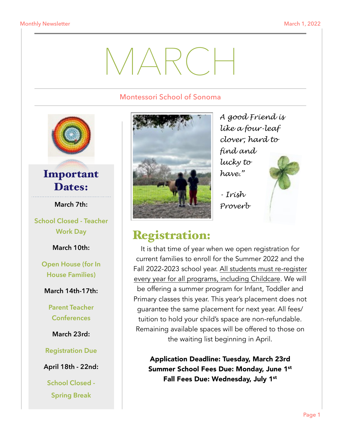# MARCH

#### Montessori School of Sonoma



### Important Dates:

**March 7th:** 

**School Closed - Teacher Work Day** 

**March 10th:** 

**Open House (for In House Families)** 

**March 14th-17th:** 

**Parent Teacher Conferences** 

**March 23rd:** 

**Registration Due** 

**April 18th - 22nd:** 

**School Closed - Spring Break** 



*A good Friend is like a four-leaf clover; hard to find and lucky to have."* 

*- Irish Proverb*



# Registration:

It is that time of year when we open registration for current families to enroll for the Summer 2022 and the Fall 2022-2023 school year. All students must re-register every year for all programs, including Childcare. We will be offering a summer program for Infant, Toddler and Primary classes this year. This year's placement does not guarantee the same placement for next year. All fees/ tuition to hold your child's space are non-refundable. Remaining available spaces will be offered to those on the waiting list beginning in April.

Application Deadline: Tuesday, March 23rd Summer School Fees Due: Monday, June 1st Fall Fees Due: Wednesday, July 1st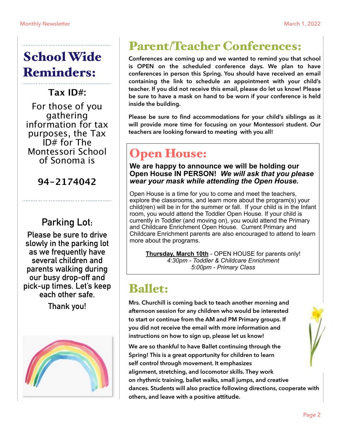# School Wide Reminders:

**Tax ID#:** 

For those of you gathering information for tax purposes, the Tax ID# for The Montessori School of Sonoma is

**94-2174042**

### **Parking Lot:**

**Please be sure to drive slowly in the parking lot as we frequently have several children and parents walking during our busy drop-off and pick-up times. Let's keep each other safe.** 

**Thank you!**



# Parent/Teacher Conferences:

**Conferences are coming up and we wanted to remind you that school is OPEN on the scheduled conference days. We plan to have conferences in person this Spring. You should have received an email containing the link to schedule an appointment with your child's teacher. If you did not receive this email, please do let us know! Please be sure to have a mask on hand to be worn if your conference is held inside the building.** 

**Please be sure to find accommodations for your child's siblings as it will provide more time for focusing on your Montessori student. Our teachers are looking forward to meeting with you all!**

# Open House:

**We are happy to announce we will be holding our Open House IN PERSON!** *We will ask that you please wear your mask while attending the Open House.* 

Open House is a time for you to come and meet the teachers, explore the classrooms, and learn more about the program(s) your child(ren) will be in for the summer or fall. If your child is in the Infant room, you would attend the Toddler Open House. If your child is currently in Toddler (and moving on), you would attend the Primary and Childcare Enrichment Open House. Current Primary and Childcare Enrichment parents are also encouraged to attend to learn more about the programs.

**Thursday, March 10th** - OPEN HOUSE for parents only! *4:30pm - Toddler & Childcare Enrichment 5:00pm - Primary Class*

## Ballet:

**Mrs. Churchill is coming back to teach another morning and afternoon session for any children who would be interested to start or continue from the AM and PM Primary groups. If you did not receive the email with more information and instructions on how to sign up, please let us know!** 

**We are so thankful to have Ballet continuing through the Spring! This is a great opportunity for children to learn self control through movement. It emphasizes alignment, stretching, and locomotor skills. They work on rhythmic training, ballet walks, small jumps, and creative dances. Students will also practice following directions, cooperate with others, and leave with a positive attitude.**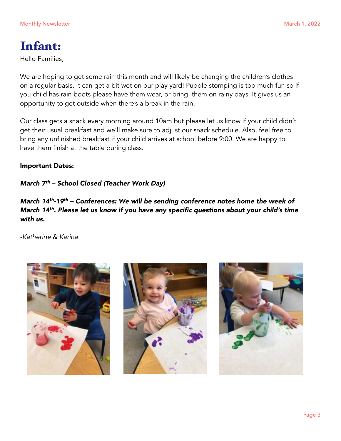# Infant:

Hello Families,

We are hoping to get some rain this month and will likely be changing the children's clothes on a regular basis. It can get a bit wet on our play yard! Puddle stomping is too much fun so if you child has rain boots please have them wear, or bring, them on rainy days. It gives us an opportunity to get outside when there's a break in the rain.

Our class gets a snack every morning around 10am but please let us know if your child didn't get their usual breakfast and we'll make sure to adjust our snack schedule. Also, feel free to bring any unfinished breakfast if your child arrives at school before 9:00. We are happy to have them finish at the table during class.

#### Important Dates:

#### *March 7th – School Closed (Teacher Work Day)*

*March 14th-19th – Conferences: We will be sending conference notes home the week of March 14th. Please let us know if you have any specific questions about your child's time with us.* 

*-Katherine & Karina* 





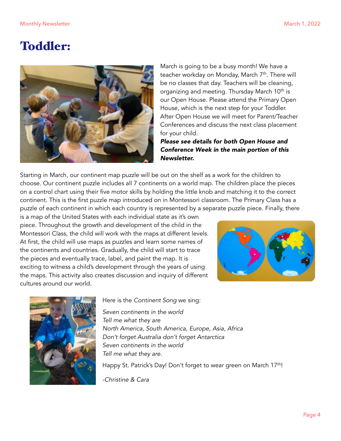## Toddler:



March is going to be a busy month! We have a teacher workday on Monday, March 7<sup>th</sup>. There will be no classes that day. Teachers will be cleaning, organizing and meeting. Thursday March 10<sup>th</sup> is our Open House. Please attend the Primary Open House, which is the next step for your Toddler. After Open House we will meet for Parent/Teacher Conferences and discuss the next class placement for your child.

*Please see details for both Open House and Conference Week in the main portion of this Newsletter.* 

Starting in March, our continent map puzzle will be out on the shelf as a work for the children to choose. Our continent puzzle includes all 7 continents on a world map. The children place the pieces on a control chart using their five motor skills by holding the little knob and matching it to the correct continent. This is the first puzzle map introduced on in Montessori classroom. The Primary Class has a puzzle of each continent in which each country is represented by a separate puzzle piece. Finally, there

is a map of the United States with each individual state as it's own piece. Throughout the growth and development of the child in the Montessori Class, the child will work with the maps at different levels. At first, the child will use maps as puzzles and learn some names of the continents and countries. Gradually, the child will start to trace the pieces and eventually trace, label, and paint the map. It is exciting to witness a child's development through the years of using the maps. This activity also creates discussion and inquiry of different cultures around our world.





Here is the *Continent Song* we sing:

*Seven continents in the world Tell me what they are North America, South America, Europe, Asia, Africa Don't forget Australia don't forget Antarctica Seven continents in the world Tell me what they are.* 

Happy St. Patrick's Day! Don't forget to wear green on March 17<sup>th</sup>!

*-Christine & Cara*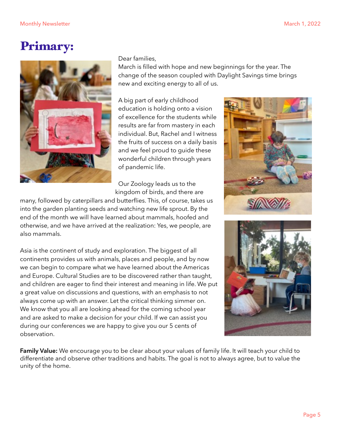### Primary:



#### Dear families,

March is filled with hope and new beginnings for the year. The change of the season coupled with Daylight Savings time brings new and exciting energy to all of us.

A big part of early childhood education is holding onto a vision of excellence for the students while results are far from mastery in each individual. But, Rachel and I witness the fruits of success on a daily basis and we feel proud to guide these wonderful children through years of pandemic life.

Our Zoology leads us to the kingdom of birds, and there are

many, followed by caterpillars and butterflies. This, of course, takes us into the garden planting seeds and watching new life sprout. By the end of the month we will have learned about mammals, hoofed and otherwise, and we have arrived at the realization: Yes, we people, are also mammals.

Asia is the continent of study and exploration. The biggest of all continents provides us with animals, places and people, and by now we can begin to compare what we have learned about the Americas and Europe. Cultural Studies are to be discovered rather than taught, and children are eager to find their interest and meaning in life. We put a great value on discussions and questions, with an emphasis to not always come up with an answer. Let the critical thinking simmer on. We know that you all are looking ahead for the coming school year and are asked to make a decision for your child. If we can assist you during our conferences we are happy to give you our 5 cents of observation.





**Family Value:** We encourage you to be clear about your values of family life. It will teach your child to differentiate and observe other traditions and habits. The goal is not to always agree, but to value the unity of the home.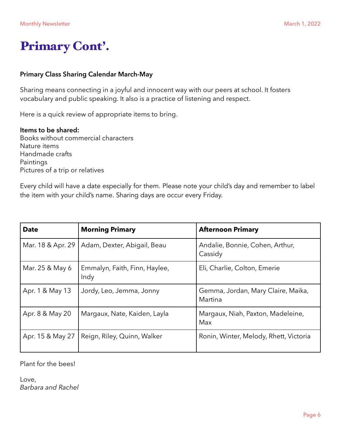## Primary Cont'.

#### **Primary Class Sharing Calendar March-May**

Sharing means connecting in a joyful and innocent way with our peers at school. It fosters vocabulary and public speaking. It also is a practice of listening and respect.

Here is a quick review of appropriate items to bring.

#### **Items to be shared:**

Books without commercial characters Nature items Handmade crafts Paintings Pictures of a trip or relatives

Every child will have a date especially for them. Please note your child's day and remember to label the item with your child's name. Sharing days are occur every Friday.

| <b>Date</b>       | <b>Morning Primary</b>                | <b>Afternoon Primary</b>                      |  |
|-------------------|---------------------------------------|-----------------------------------------------|--|
| Mar. 18 & Apr. 29 | Adam, Dexter, Abigail, Beau           | Andalie, Bonnie, Cohen, Arthur,<br>Cassidy    |  |
| Mar. 25 & May 6   | Emmalyn, Faith, Finn, Haylee,<br>Indy | Eli, Charlie, Colton, Emerie                  |  |
| Apr. 1 & May 13   | Jordy, Leo, Jemma, Jonny              | Gemma, Jordan, Mary Claire, Maika,<br>Martina |  |
| Apr. 8 & May 20   | Margaux, Nate, Kaiden, Layla          | Margaux, Niah, Paxton, Madeleine,<br>Max      |  |
| Apr. 15 & May 27  | Reign, Riley, Quinn, Walker           | Ronin, Winter, Melody, Rhett, Victoria        |  |

Plant for the bees!

Love, *Barbara and Rachel*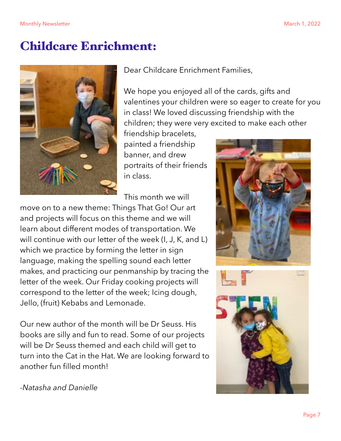### Childcare Enrichment:



Dear Childcare Enrichment Families,

We hope you enjoyed all of the cards, gifts and valentines your children were so eager to create for you in class! We loved discussing friendship with the children; they were very excited to make each other

friendship bracelets, painted a friendship banner, and drew portraits of their friends in class.

This month we will

move on to a new theme: Things That Go! Our art and projects will focus on this theme and we will learn about different modes of transportation. We will continue with our letter of the week (I, J, K, and L) which we practice by forming the letter in sign language, making the spelling sound each letter makes, and practicing our penmanship by tracing the letter of the week. Our Friday cooking projects will correspond to the letter of the week; Icing dough, Jello, (fruit) Kebabs and Lemonade.

Our new author of the month will be Dr Seuss. His books are silly and fun to read. Some of our projects will be Dr Seuss themed and each child will get to turn into the Cat in the Hat. We are looking forward to another fun filled month!





*-Natasha and Danielle*